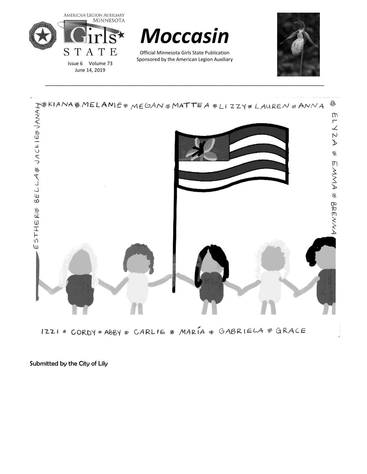

```
1221 & CORDY & ABBY & CARLIE & MARIA & GABRIELA & GRACE
```
Submitted by the City of Lily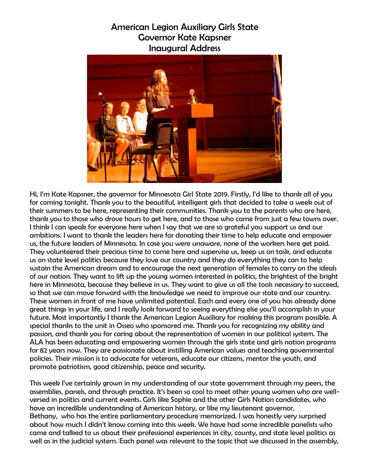# American Legion Auxiliary Girls State Governor Kate Kapsner Inaugural Address



Hi, I'm Kate Kapsner, the governor for Minnesota Girl State 2019. Firstly, I'd like to thank all of you for coming tonight. Thank you to the beautiful, intelligent girls that decided to take a week out of their summers to be here, representing their communities. Thank you to the parents who are here, thank you to those who drove hours to get here, and to those who came from just a few towns over. I think I can speak for everyone here when I say that we are so grateful you support us and our ambitions. I want to thank the leaders here for donating their time to help educate and empower us, the future leaders of Minnesota. In case you were unaware, none of the workers here get paid. They volunteered their precious time to come here and supervise us, keep us on task, and educate us on state level politics because they love our country and they do everything they can to help sustain the American dream and to encourage the next generation of females to carry on the ideals of our nation. They want to lift up the young women interested in politics, the brightest of the bright here in Minnesota, because they believe in us. They want to give us all the tools necessary to succeed, so that we can move forward with the knowledge we need to improve our state and our country. These women in front of me have unlimited potential. Each and every one of you has already done great things in your life, and I really look forward to seeing everything else you'll accomplish in your future. Most importantly I thank the American Legion Auxiliary for making this program possible. A special thanks to the unit in Osseo who sponsored me. Thank you for recognizing my ability and passion, and thank you for caring about the representation of women in our political system. The ALA has been educating and empowering women through the girls state and girls nation programs for 82 years now. They are passionate about instilling American values and teaching governmental policies. Their mission is to advocate for veterans, educate our citizens, mentor the youth, and promote patriotism, good citizenship, peace and security.

This week I've certainly grown in my understanding of our state government through my peers, the assemblies, panels, and through practice. It's been so cool to meet other young women who are wellversed in politics and current events. Girls like Sophie and the other Girls Nation candidates, who have an incredible understanding of American history, or like my lieutenant governor, Bethany, who has the entire parliamentary procedure memorized. I was honestly very surprised about how much I didn't know coming into this week. We have had some incredible panelists who came and talked to us about their professional experiences in city, county, and state level politics as well as in the judicial system. Each panel was relevant to the topic that we discussed in the assembly,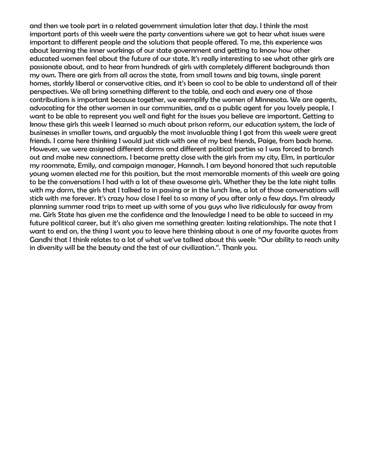and then we took part in a related government simulation later that day. I think the most important parts of this week were the party conventions where we got to hear what issues were important to different people and the solutions that people offered. To me, this experience was about learning the inner workings of our state government and getting to know how other educated women feel about the future of our state. It's really interesting to see what other girls are passionate about, and to hear from hundreds of girls with completely different backgrounds than my own. There are girls from all across the state, from small towns and big towns, single parent homes, starkly liberal or conservative cities, and it's been so cool to be able to understand all of their perspectives. We all bring something different to the table, and each and every one of those contributions is important because together, we exemplify the women of Minnesota. We are agents, advocating for the other women in our communities, and as a public agent for you lovely people, I want to be able to represent you well and fight for the issues you believe are important. Getting to know these girls this week I learned so much about prison reform, our education system, the lack of businesses in smaller towns, and arguably the most invaluable thing I got from this week were great friends. I came here thinking I would just stick with one of my best friends, Paige, from back home. However, we were assigned different dorms and different political parties so I was forced to branch out and make new connections. I became pretty close with the girls from my city, Elm, in particular my roommate, Emily, and campaign manager, Hannah. I am beyond honored that such reputable young women elected me for this position, but the most memorable moments of this week are going to be the conversations I had with a lot of these awesome girls. Whether they be the late night talks with my dorm, the girls that I talked to in passing or in the lunch line, a lot of those conversations will stick with me forever. It's crazy how close I feel to so many of you after only a few days. I'm already planning summer road trips to meet up with some of you guys who live ridiculously far away from me. Girls State has given me the confidence and the knowledge I need to be able to succeed in my future political career, but it's also given me something greater: lasting relationships. The note that I want to end on, the thing I want you to leave here thinking about is one of my favorite quotes from Gandhi that I think relates to a lot of what we've talked about this week: "Our ability to reach unity in diversity will be the beauty and the test of our civilization.". Thank you.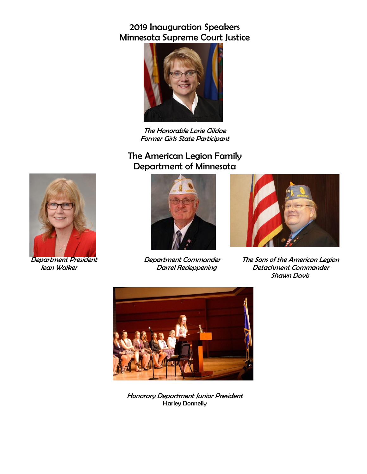2019 Inauguration Speakers Minnesota Supreme Court Justice



The Honorable Lorie Gildae Former Girls State Participant

# The American Legion Family Department of Minnesota







Department President **Department Commander** The Sons of the American Legion Jean Walker Darrel Redeppening Detachment Commander Shawn Davis



Honorary Department Junior President Harley Donnelly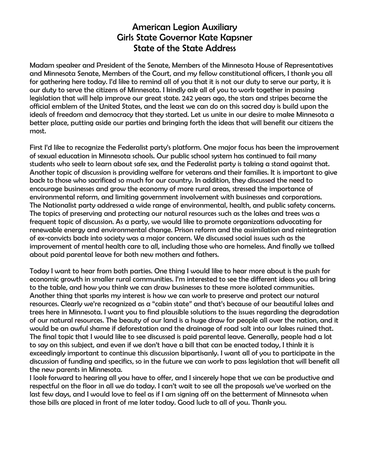# American Legion Auxiliary Girls State Governor Kate Kapsner State of the State Address

Madam speaker and President of the Senate, Members of the Minnesota House of Representatives and Minnesota Senate, Members of the Court, and my fellow constitutional officers, I thank you all for gathering here today. I'd like to remind all of you that it is not our duty to serve our party, it is our duty to serve the citizens of Minnesota. I kindly ask all of you to work together in passing legislation that will help improve our great state. 242 years ago, the stars and stripes became the official emblem of the United States, and the least we can do on this sacred day is build upon the ideals of freedom and democracy that they started. Let us unite in our desire to make Minnesota a better place, putting aside our parties and bringing forth the ideas that will benefit our citizens the most.

First I'd like to recognize the Federalist party's platform. One major focus has been the improvement of sexual education in Minnesota schools. Our public school system has continued to fail many students who seek to learn about safe sex, and the Federalist party is taking a stand against that. Another topic of discussion is providing welfare for veterans and their families. It is important to give back to those who sacrificed so much for our country. In addition, they discussed the need to encourage businesses and grow the economy of more rural areas, stressed the importance of environmental reform, and limiting government involvement with businesses and corporations. The Nationalist party addressed a wide range of environmental, health, and public safety concerns. The topics of preserving and protecting our natural resources such as the lakes and trees was a frequent topic of discussion. As a party, we would like to promote organizations advocating for renewable energy and environmental change. Prison reform and the assimilation and reintegration of ex-convicts back into society was a major concern. We discussed social issues such as the improvement of mental health care to all, including those who are homeless. And finally we talked about paid parental leave for both new mothers and fathers.

Today I want to hear from both parties. One thing I would like to hear more about is the push for economic growth in smaller rural communities. I'm interested to see the different ideas you all bring to the table, and how you think we can draw businesses to these more isolated communities. Another thing that sparks my interest is how we can work to preserve and protect our natural resources. Clearly we're recognized as a "cabin state" and that's because of our beautiful lakes and trees here in Minnesota. I want you to find plausible solutions to the issues regarding the degradation of our natural resources. The beauty of our land is a huge draw for people all over the nation, and it would be an awful shame if deforestation and the drainage of road salt into our lakes ruined that. The final topic that I would like to see discussed is paid parental leave. Generally, people had a lot to say on this subject, and even if we don't have a bill that can be enacted today, I think it is exceedingly important to continue this discussion bipartisanly. I want all of you to participate in the discussion of funding and specifics, so in the future we can work to pass legislation that will benefit all the new parents in Minnesota.

I look forward to hearing all you have to offer, and I sincerely hope that we can be productive and respectful on the floor in all we do today. I can't wait to see all the proposals we've worked on the last few days, and I would love to feel as if I am signing off on the betterment of Minnesota when those bills are placed in front of me later today. Good luck to all of you. Thank you.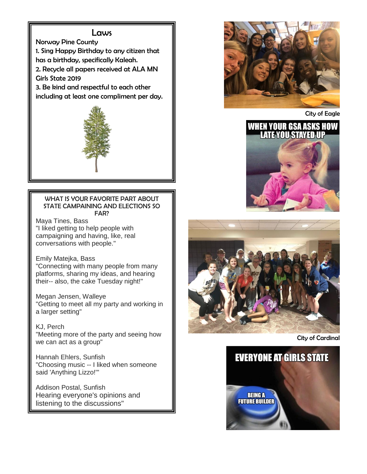### Laws

Norway Pine County 1. Sing Happy Birthday to any citizen that has a birthday, specifically Kaleah. 2. Recycle all papers received at ALA MN Girls State 2019 3. Be kind and respectful to each other including at least one compliment per day.



#### WHAT IS YOUR FAVORITE PART ABOUT STATE CAMPAINING AND ELECTIONS SO FAR?

Maya Tines, Bass "I liked getting to help people with campaigning and having, like, real conversations with people."

Emily Matejka, Bass "Connecting with many people from many platforms, sharing my ideas, and hearing their-- also, the cake Tuesday night!"

Megan Jensen, Walleye "Getting to meet all my party and working in a larger setting"

KJ, Perch "Meeting more of the party and seeing how we can act as a group"

Hannah Ehlers, Sunfish "Choosing music -- I liked when someone said 'Anything Lizzo!'"

Addison Postal, Sunfish Hearing everyone's opinions and listening to the discussions"



City of Eagle





City of Cardinal

# **EVERYONE AT GIRLS STATE**